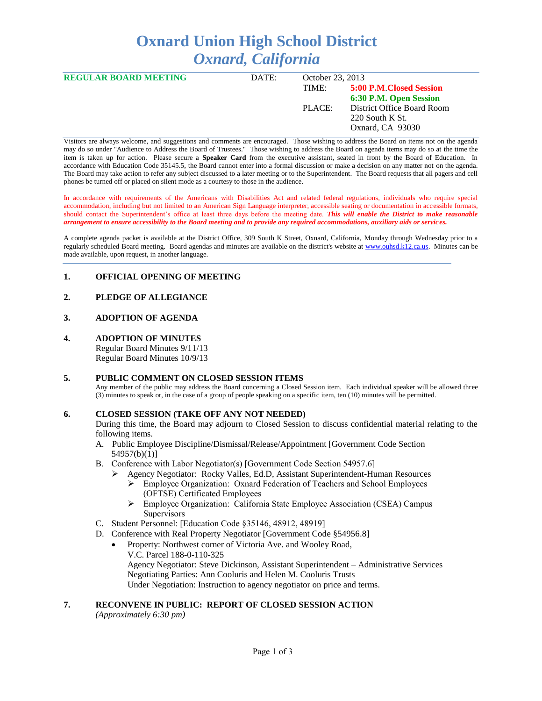# **Oxnard Union High School District** *Oxnard, California*

| <b>REGULAR BOARD MEETING</b> | DATE: | October 23, 2013 |                                                                                                                        |
|------------------------------|-------|------------------|------------------------------------------------------------------------------------------------------------------------|
|                              |       | TIME:<br>PLACE:  | 5:00 P.M Closed Session<br>6:30 P.M. Open Session<br>District Office Board Room<br>220 South K St.<br>Oxnard, CA 93030 |
|                              |       |                  |                                                                                                                        |

Visitors are always welcome, and suggestions and comments are encouraged. Those wishing to address the Board on items not on the agenda may do so under "Audience to Address the Board of Trustees." Those wishing to address the Board on agenda items may do so at the time the item is taken up for action. Please secure a **Speaker Card** from the executive assistant, seated in front by the Board of Education. In accordance with Education Code 35145.5, the Board cannot enter into a formal discussion or make a decision on any matter not on the agenda. The Board may take action to refer any subject discussed to a later meeting or to the Superintendent. The Board requests that all pagers and cell phones be turned off or placed on silent mode as a courtesy to those in the audience.

In accordance with requirements of the Americans with Disabilities Act and related federal regulations, individuals who require special accommodation, including but not limited to an American Sign Language interpreter, accessible seating or documentation in accessible formats, should contact the Superintendent's office at least three days before the meeting date. *This will enable the District to make reasonable arrangement to ensure accessibility to the Board meeting and to provide any required accommodations, auxiliary aids or services.* 

A complete agenda packet is available at the District Office, 309 South K Street, Oxnard, California, Monday through Wednesday prior to a regularly scheduled Board meeting. Board agendas and minutes are available on the district's website at [www.ouhsd.k12.ca.us.](http://www.ouhsd.k12.ca.us/)Minutes can be made available, upon request, in another language.

#### **1. OFFICIAL OPENING OF MEETING**

# **2. PLEDGE OF ALLEGIANCE**

# **3. ADOPTION OF AGENDA**

**4. ADOPTION OF MINUTES** Regular Board Minutes 9/11/13

Regular Board Minutes 10/9/13

#### **5. PUBLIC COMMENT ON CLOSED SESSION ITEMS**

Any member of the public may address the Board concerning a Closed Session item. Each individual speaker will be allowed three (3) minutes to speak or, in the case of a group of people speaking on a specific item, ten (10) minutes will be permitted.

#### **6. CLOSED SESSION (TAKE OFF ANY NOT NEEDED)**

During this time, the Board may adjourn to Closed Session to discuss confidential material relating to the following items.

- A. Public Employee Discipline/Dismissal/Release/Appointment [Government Code Section 54957(b)(1)]
- B. Conference with Labor Negotiator(s) [Government Code Section 54957.6]
	- Agency Negotiator: Rocky Valles, Ed.D, Assistant Superintendent-Human Resources
		- Employee Organization: Oxnard Federation of Teachers and School Employees (OFTSE) Certificated Employees
		- Employee Organization: California State Employee Association (CSEA) Campus **Supervisors**
- C. Student Personnel: [Education Code §35146, 48912, 48919]
- D. Conference with Real Property Negotiator [Government Code §54956.8]
	- Property: Northwest corner of Victoria Ave. and Wooley Road, V.C. Parcel 188-0-110-325 Agency Negotiator: Steve Dickinson, Assistant Superintendent – Administrative Services Negotiating Parties: Ann Cooluris and Helen M. Cooluris Trusts Under Negotiation: Instruction to agency negotiator on price and terms.

#### **7. RECONVENE IN PUBLIC: REPORT OF CLOSED SESSION ACTION**

*(Approximately 6:30 pm)*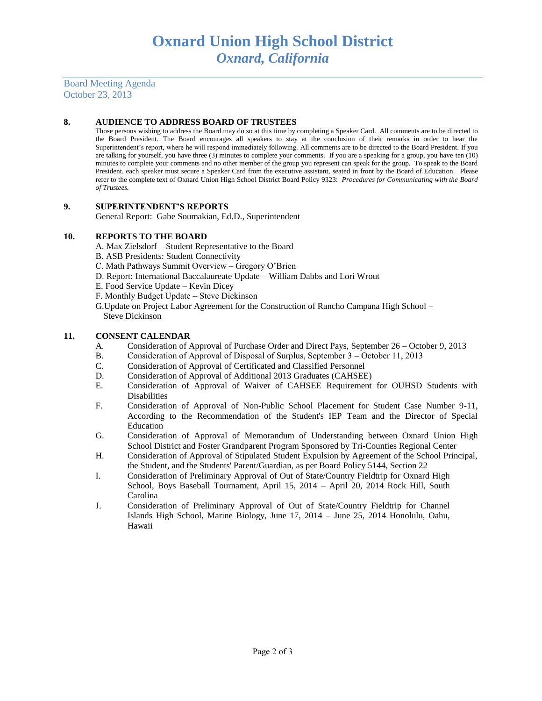Board Meeting Agenda October 23, 2013

#### **8. AUDIENCE TO ADDRESS BOARD OF TRUSTEES**

Those persons wishing to address the Board may do so at this time by completing a Speaker Card. All comments are to be directed to the Board President. The Board encourages all speakers to stay at the conclusion of their remarks in order to hear the Superintendent's report, where he will respond immediately following. All comments are to be directed to the Board President. If you are talking for yourself, you have three (3) minutes to complete your comments. If you are a speaking for a group, you have ten (10) minutes to complete your comments and no other member of the group you represent can speak for the group. To speak to the Board President, each speaker must secure a Speaker Card from the executive assistant, seated in front by the Board of Education. Please refer to the complete text of Oxnard Union High School District Board Policy 9323: *Procedures for Communicating with the Board of Trustees.*

#### **9. SUPERINTENDENT'S REPORTS**

General Report: Gabe Soumakian, Ed.D., Superintendent

# **10. REPORTS TO THE BOARD**

- A. Max Zielsdorf Student Representative to the Board
- B. ASB Presidents: Student Connectivity
- C. Math Pathways Summit Overview Gregory O'Brien
- D. Report: International Baccalaureate Update William Dabbs and Lori Wrout
- E. Food Service Update Kevin Dicey
- F. Monthly Budget Update Steve Dickinson
- G.Update on Project Labor Agreement for the Construction of Rancho Campana High School Steve Dickinson

#### **11. CONSENT CALENDAR**

- A. Consideration of Approval of Purchase Order and Direct Pays, September 26 October 9, 2013
- B. Consideration of Approval of Disposal of Surplus, September 3 October 11, 2013
- C. Consideration of Approval of Certificated and Classified Personnel
- D. Consideration of Approval of Additional 2013 Graduates (CAHSEE)
- E. Consideration of Approval of Waiver of CAHSEE Requirement for OUHSD Students with Disabilities
- F. Consideration of Approval of Non-Public School Placement for Student Case Number 9-11, According to the Recommendation of the Student's IEP Team and the Director of Special Education
- G. Consideration of Approval of Memorandum of Understanding between Oxnard Union High School District and Foster Grandparent Program Sponsored by Tri-Counties Regional Center
- H. Consideration of Approval of Stipulated Student Expulsion by Agreement of the School Principal, the Student, and the Students' Parent/Guardian, as per Board Policy 5144, Section 22
- I. Consideration of Preliminary Approval of Out of State/Country Fieldtrip for Oxnard High School, Boys Baseball Tournament, April 15, 2014 – April 20, 2014 Rock Hill, South Carolina
- J. Consideration of Preliminary Approval of Out of State/Country Fieldtrip for Channel Islands High School, Marine Biology, June 17, 2014 – June 25, 2014 Honolulu, Oahu, Hawaii